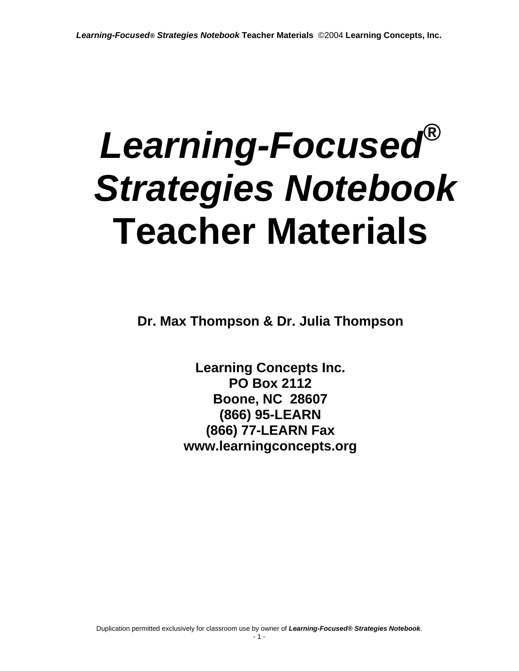# *Learning-Focused® Strategies Notebook*  **Teacher Materials**

**Dr. Max Thompson & Dr. Julia Thompson** 

**Learning Concepts Inc. PO Box 2112 Boone, NC 28607 (866) 95-LEARN (866) 77-LEARN Fax www.learningconcepts.org**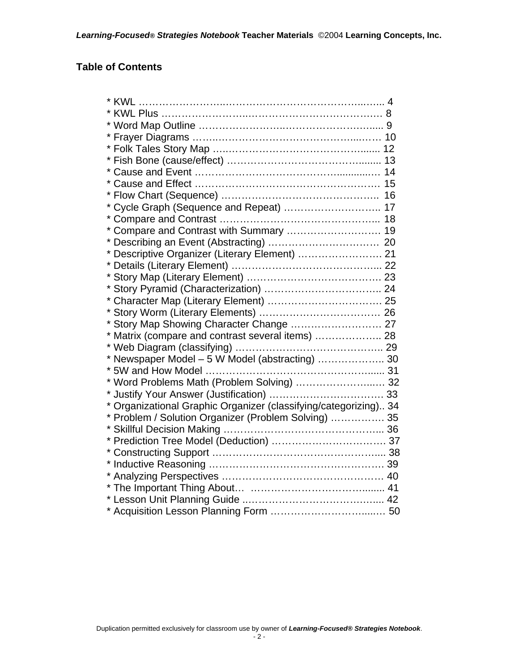#### **Table of Contents**

| * Cycle Graph (Sequence and Repeat)  17                          |  |
|------------------------------------------------------------------|--|
|                                                                  |  |
| * Compare and Contrast with Summary  19                          |  |
|                                                                  |  |
| * Descriptive Organizer (Literary Element)  21                   |  |
|                                                                  |  |
|                                                                  |  |
|                                                                  |  |
|                                                                  |  |
|                                                                  |  |
|                                                                  |  |
| * Matrix (compare and contrast several items)  28                |  |
|                                                                  |  |
| * Newspaper Model - 5 W Model (abstracting)  30                  |  |
|                                                                  |  |
| * Word Problems Math (Problem Solving)  32                       |  |
|                                                                  |  |
| * Organizational Graphic Organizer (classifying/categorizing) 34 |  |
| * Problem / Solution Organizer (Problem Solving)  35             |  |
|                                                                  |  |
|                                                                  |  |
|                                                                  |  |
|                                                                  |  |
|                                                                  |  |
|                                                                  |  |
|                                                                  |  |
|                                                                  |  |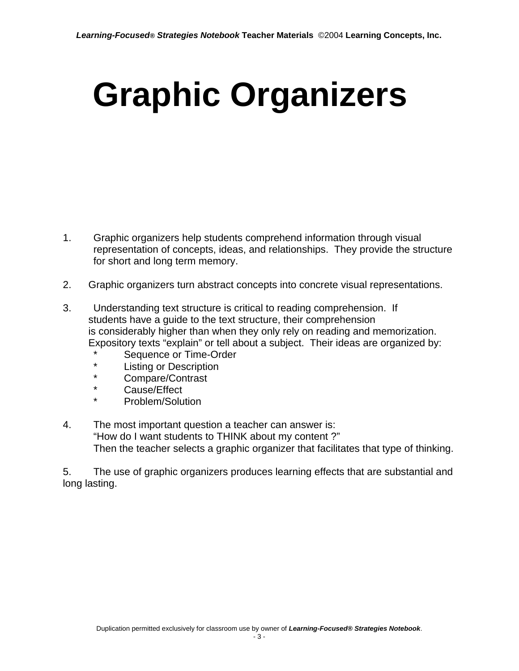# **Graphic Organizers**

- 1. Graphic organizers help students comprehend information through visual representation of concepts, ideas, and relationships. They provide the structure for short and long term memory.
- 2. Graphic organizers turn abstract concepts into concrete visual representations.
- 3. Understanding text structure is critical to reading comprehension. If students have a guide to the text structure, their comprehension is considerably higher than when they only rely on reading and memorization. Expository texts "explain" or tell about a subject. Their ideas are organized by:
	- \* Sequence or Time-Order<br>\* Listing or Description
	- \* Listing or Description<br>\* Compare/Contract
	- \* Compare/Contrast
	- Cause/Effect
	- Problem/Solution
- 4. The most important question a teacher can answer is: "How do I want students to THINK about my content ?" Then the teacher selects a graphic organizer that facilitates that type of thinking.

5. The use of graphic organizers produces learning effects that are substantial and long lasting.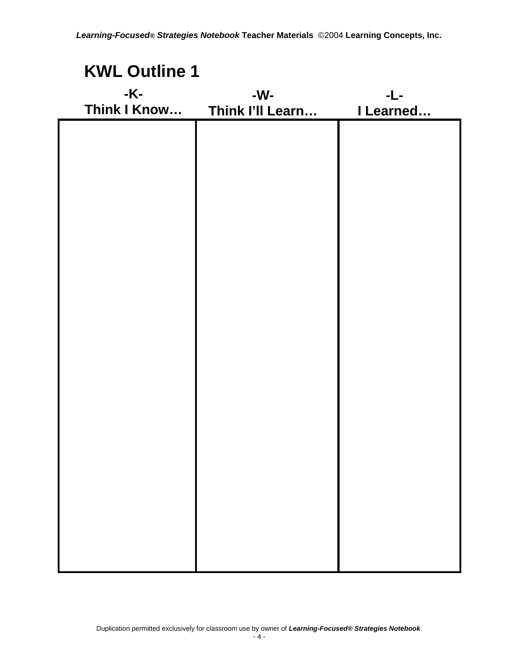| <b>KWL Outline 1</b> |                  |           |
|----------------------|------------------|-----------|
| -K-                  | -W-              | -L-       |
| Think I Know         | Think I'll Learn | I Learned |
|                      |                  |           |
|                      |                  |           |
|                      |                  |           |
|                      |                  |           |
|                      |                  |           |
|                      |                  |           |
|                      |                  |           |
|                      |                  |           |
|                      |                  |           |
|                      |                  |           |
|                      |                  |           |
|                      |                  |           |
|                      |                  |           |
|                      |                  |           |
|                      |                  |           |
|                      |                  |           |
|                      |                  |           |
|                      |                  |           |
|                      |                  |           |
|                      |                  |           |
|                      |                  |           |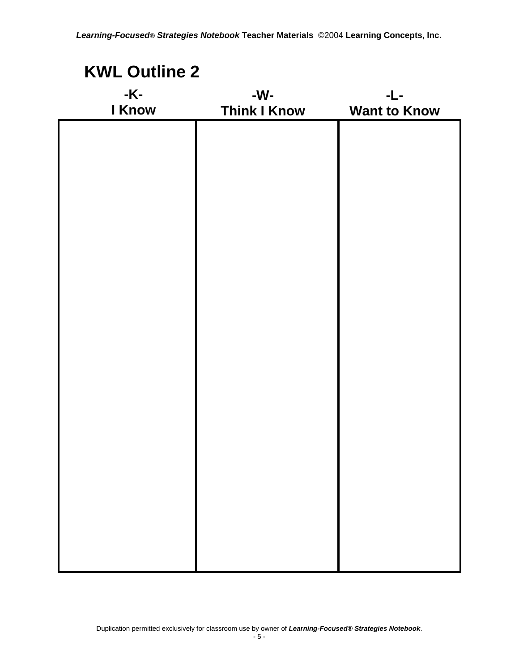| <b>KWL Outline 2</b> |                     |                     |
|----------------------|---------------------|---------------------|
| -K-                  | -W-                 | -L-                 |
| I Know               | <b>Think I Know</b> | <b>Want to Know</b> |
|                      |                     |                     |
|                      |                     |                     |
|                      |                     |                     |
|                      |                     |                     |
|                      |                     |                     |
|                      |                     |                     |
|                      |                     |                     |
|                      |                     |                     |
|                      |                     |                     |
|                      |                     |                     |
|                      |                     |                     |
|                      |                     |                     |
|                      |                     |                     |
|                      |                     |                     |
|                      |                     |                     |
|                      |                     |                     |
|                      |                     |                     |
|                      |                     |                     |
|                      |                     |                     |
|                      |                     |                     |
|                      |                     |                     |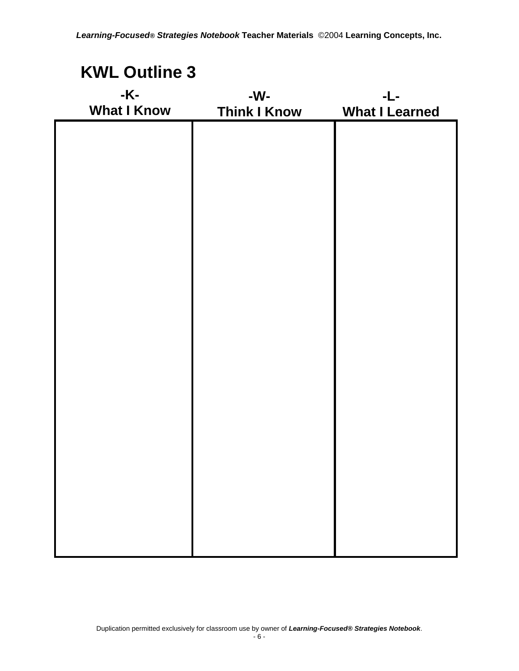| <b>KWL Outline 3</b>      |                            |                              |
|---------------------------|----------------------------|------------------------------|
| -K-<br><b>What I Know</b> | -W-<br><b>Think I Know</b> | -L-<br><b>What I Learned</b> |
|                           |                            |                              |
|                           |                            |                              |
|                           |                            |                              |
|                           |                            |                              |
|                           |                            |                              |
|                           |                            |                              |
|                           |                            |                              |
|                           |                            |                              |
|                           |                            |                              |
|                           |                            |                              |
|                           |                            |                              |
|                           |                            |                              |
|                           |                            |                              |
|                           |                            |                              |
|                           |                            |                              |
|                           |                            |                              |
|                           |                            |                              |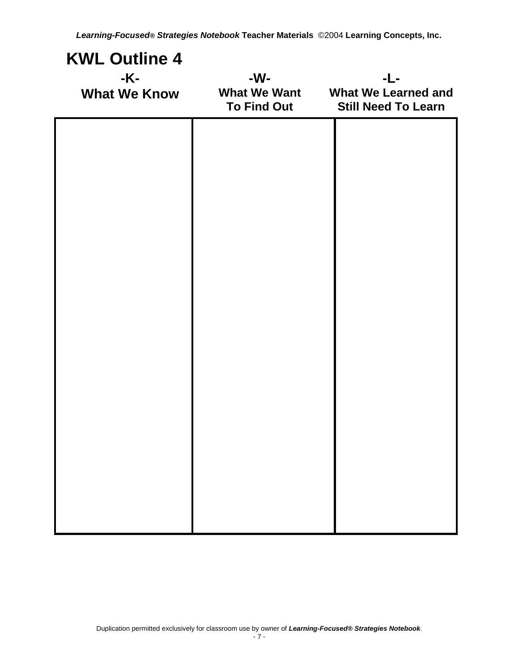| <b>KWL Outline 4</b><br>-K-<br><b>What We Know</b> | -W-<br><b>What We Want</b><br>To Find Out | -L-<br><b>What We Learned and</b><br><b>Still Need To Learn</b> |
|----------------------------------------------------|-------------------------------------------|-----------------------------------------------------------------|
|                                                    |                                           |                                                                 |
|                                                    |                                           |                                                                 |
|                                                    |                                           |                                                                 |
|                                                    |                                           |                                                                 |
|                                                    |                                           |                                                                 |
|                                                    |                                           |                                                                 |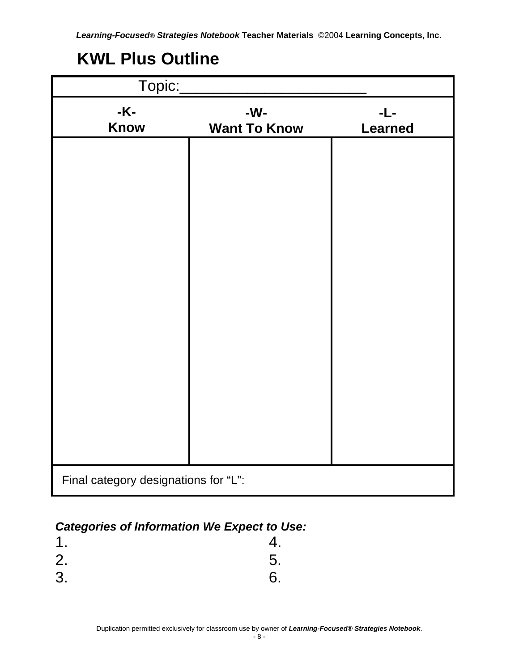## **KWL Plus Outline**

| Topic:                               |                            |                       |
|--------------------------------------|----------------------------|-----------------------|
| -K-<br><b>Know</b>                   | -W-<br><b>Want To Know</b> | -L-<br><b>Learned</b> |
|                                      |                            |                       |
|                                      |                            |                       |
|                                      |                            |                       |
|                                      |                            |                       |
|                                      |                            |                       |
|                                      |                            |                       |
|                                      |                            |                       |
|                                      |                            |                       |
|                                      |                            |                       |
|                                      |                            |                       |
| Final category designations for "L": |                            |                       |

#### *Categories of Information We Expect to Use:*

| 1. | 4. |
|----|----|
| 2. | 5. |
| 3. | 6. |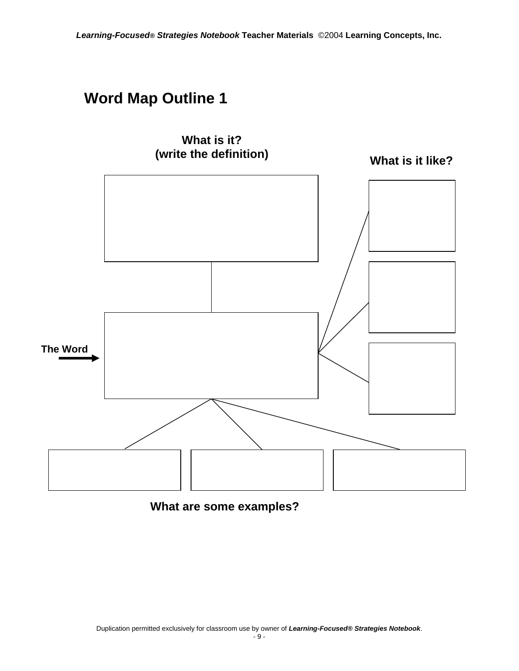

#### **What are some examples?**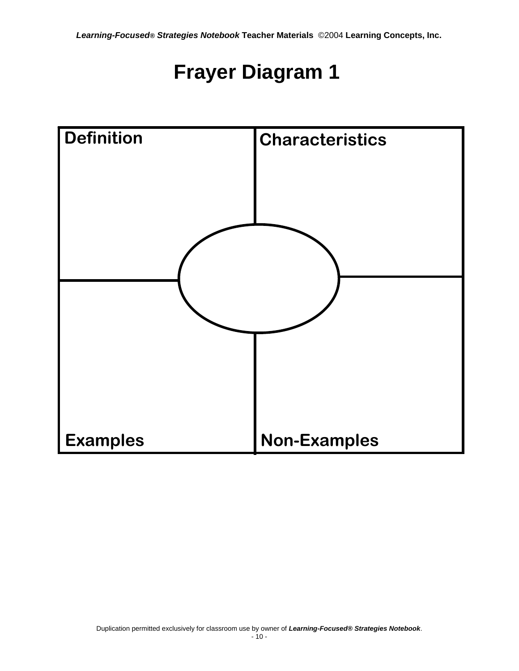## **Frayer Diagram 1**

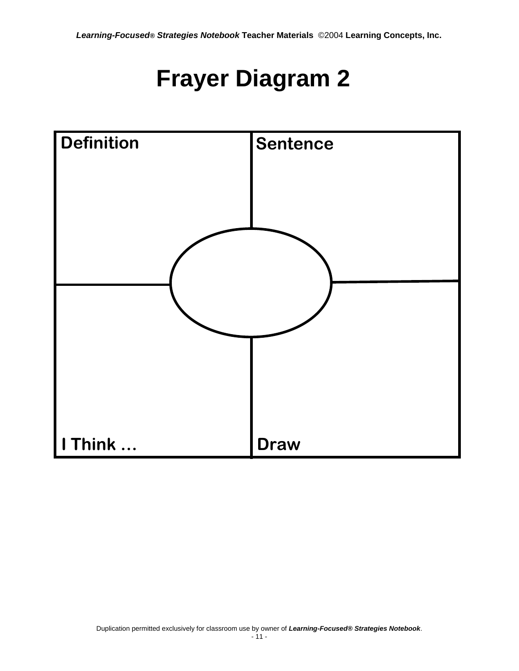# **Frayer Diagram 2**

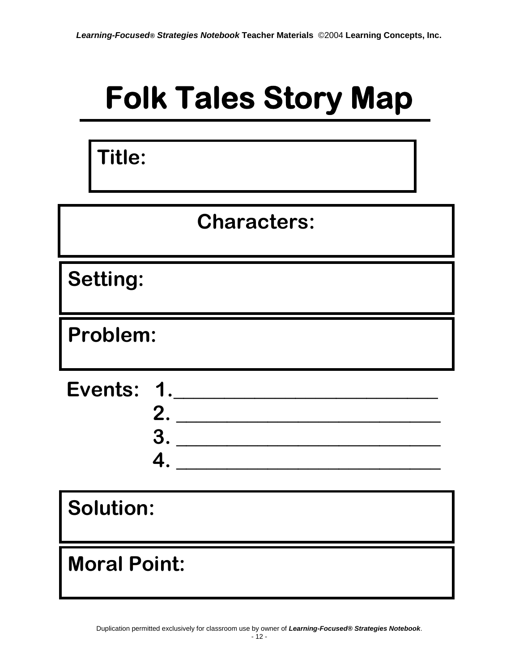# **Folk Tales Story Map**

**Title:** 

## **Characters:**

**Setting:** 

**Problem:** 

 **2. \_\_\_\_\_\_\_\_\_\_\_\_\_\_\_\_\_\_\_\_\_\_\_\_\_\_ 3. \_\_\_\_\_\_\_\_\_\_\_\_\_\_\_\_\_\_\_\_\_\_\_\_\_\_ 4. \_\_\_\_\_\_\_\_\_\_\_\_\_\_\_\_\_\_\_\_\_\_\_\_\_\_ Events: 1.\_\_\_\_\_\_\_\_\_\_\_\_\_\_\_\_\_\_\_\_\_\_\_\_\_\_**

**Solution:** 

## **Moral Point:**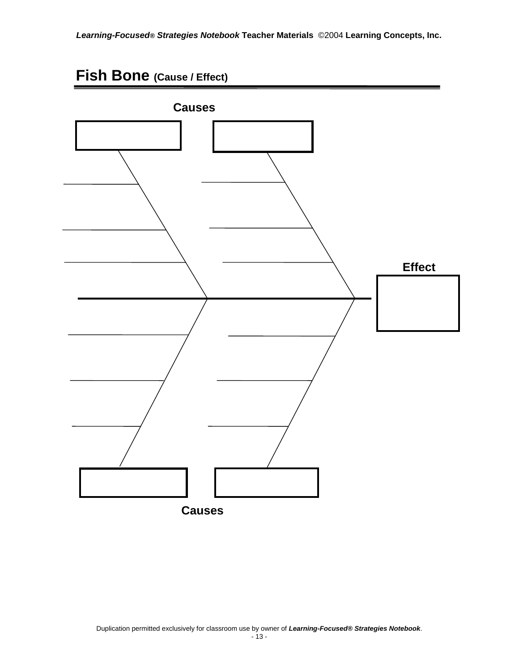#### **Fish Bone (Cause / Effect)**

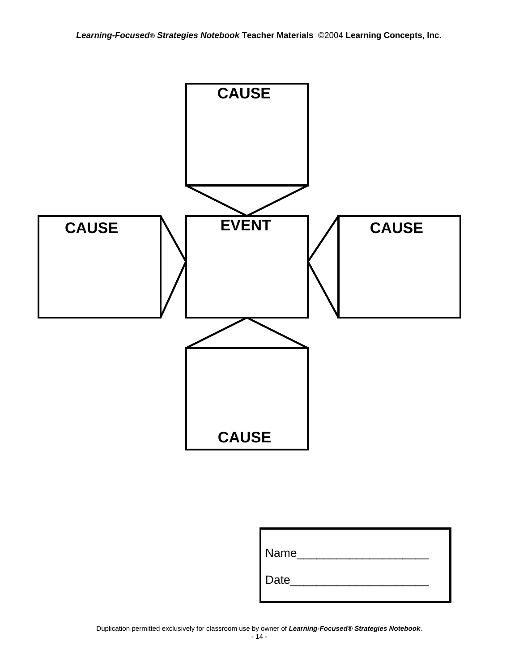

| Name |  |
|------|--|
| Date |  |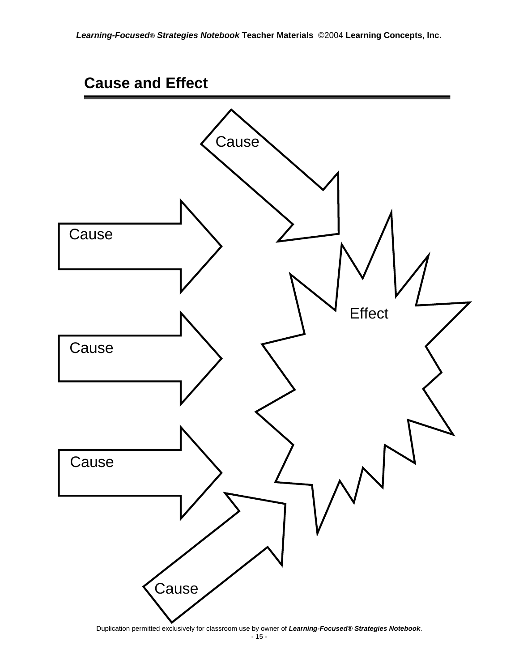#### **Cause and Effect**

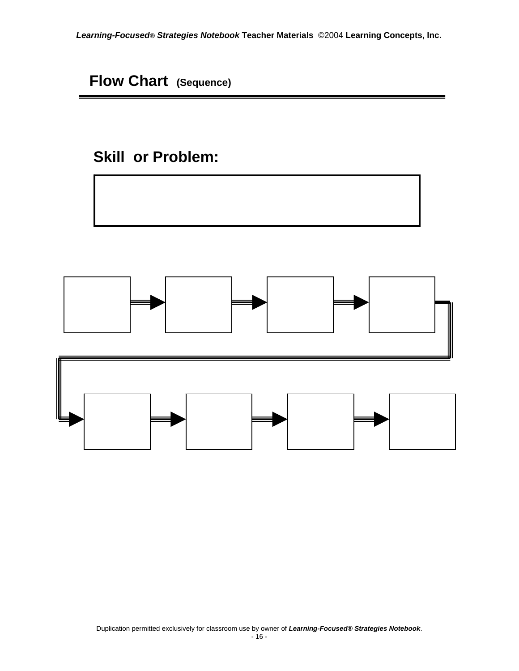**Flow Chart (Sequence)**

### **Skill or Problem:**



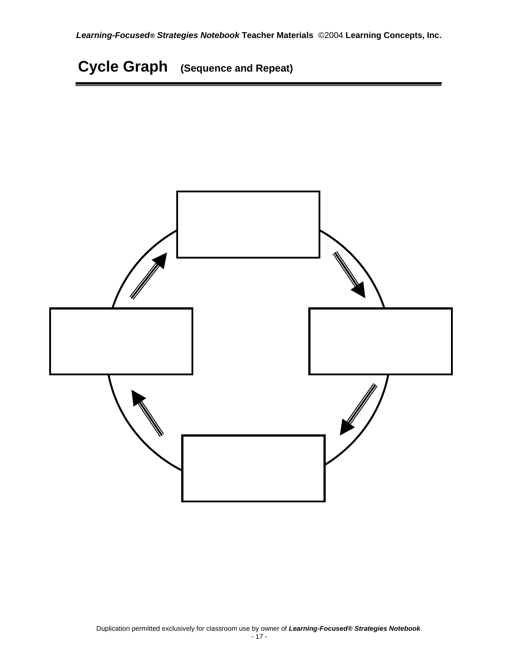**Cycle Graph (Sequence and Repeat)**

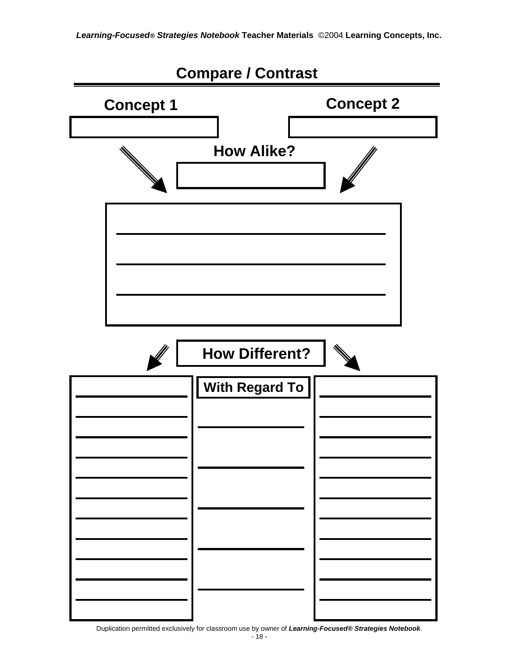

Duplication permitted exclusively for classroom use by owner of *Learning-Focused® Strategies Notebook*.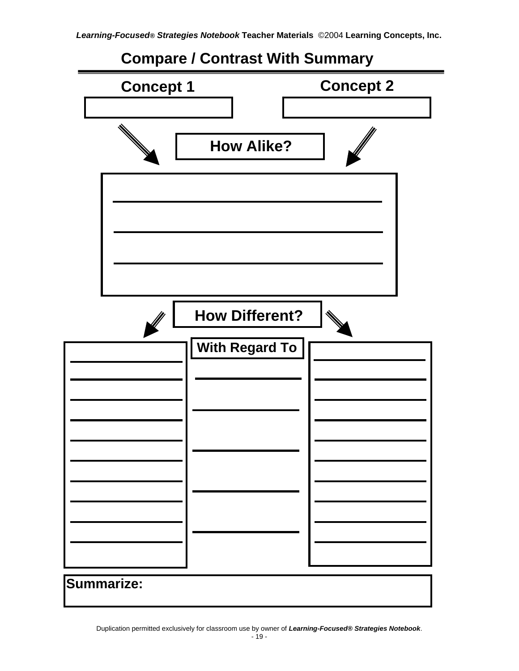#### **Compare / Contrast With Summary**

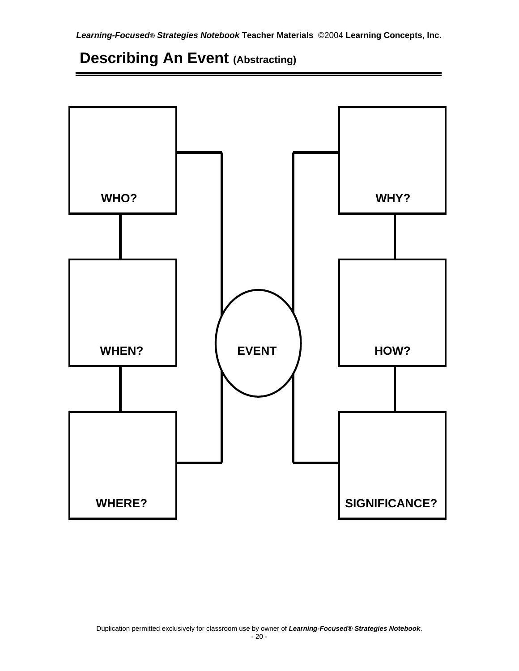### **Describing An Event (Abstracting)**

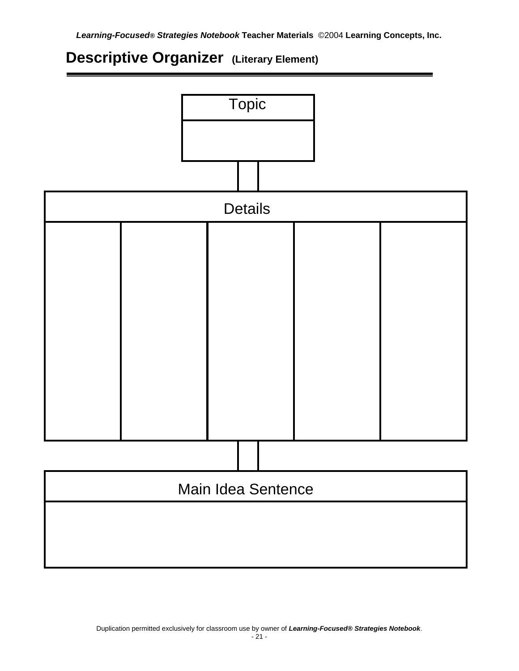#### **Descriptive Organizer (Literary Element)**

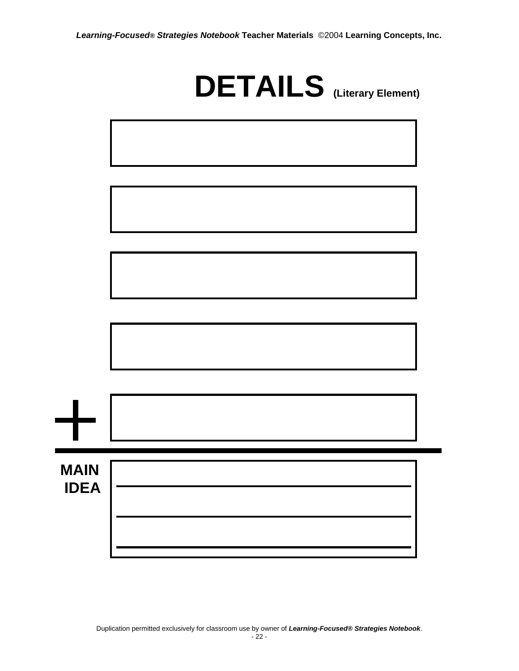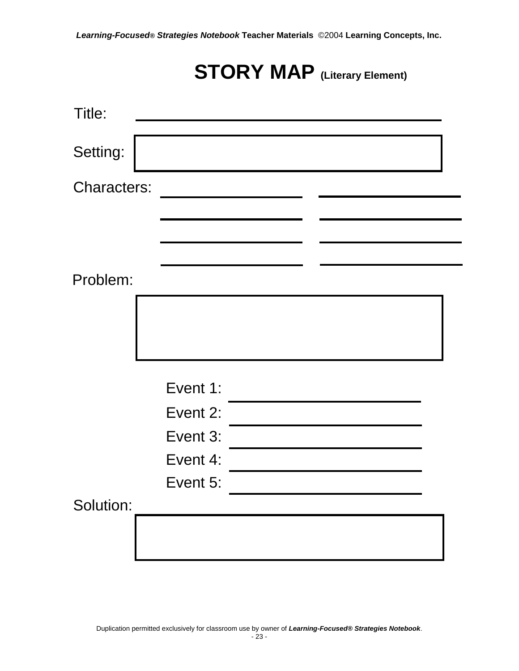## **STORY MAP** (Literary Element)

| Title:             |          |  |  |
|--------------------|----------|--|--|
| Setting:           |          |  |  |
| <b>Characters:</b> |          |  |  |
|                    |          |  |  |
|                    |          |  |  |
| Problem:           |          |  |  |
|                    |          |  |  |
|                    | Event 1: |  |  |
|                    | Event 2: |  |  |
|                    | Event 3: |  |  |
|                    | Event 4: |  |  |
|                    | Event 5: |  |  |
| Solution:          |          |  |  |
|                    |          |  |  |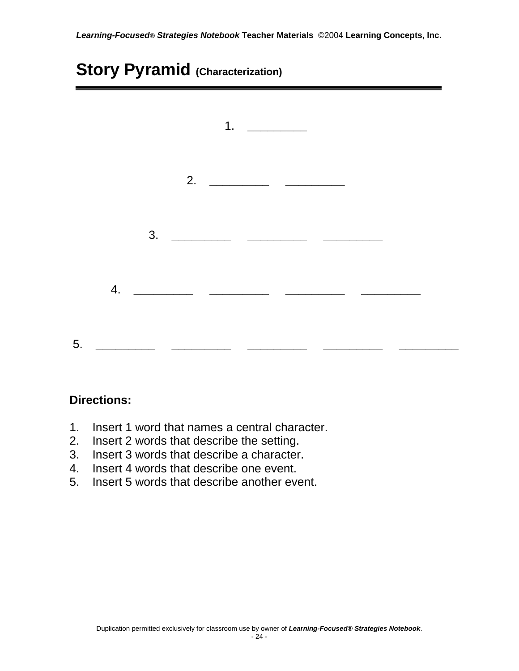### **Story Pyramid (Characterization)**

|    | 1. $\qquad$                                                                                                                                                                                                                                                                                                                                                                                                                 |
|----|-----------------------------------------------------------------------------------------------------------------------------------------------------------------------------------------------------------------------------------------------------------------------------------------------------------------------------------------------------------------------------------------------------------------------------|
|    |                                                                                                                                                                                                                                                                                                                                                                                                                             |
|    | 3. $\frac{1}{\sqrt{1-\frac{1}{2}}}\frac{1}{\sqrt{1-\frac{1}{2}}}\frac{1}{\sqrt{1-\frac{1}{2}}}\frac{1}{\sqrt{1-\frac{1}{2}}}\frac{1}{\sqrt{1-\frac{1}{2}}}\frac{1}{\sqrt{1-\frac{1}{2}}}\frac{1}{\sqrt{1-\frac{1}{2}}}\frac{1}{\sqrt{1-\frac{1}{2}}}\frac{1}{\sqrt{1-\frac{1}{2}}}\frac{1}{\sqrt{1-\frac{1}{2}}}\frac{1}{\sqrt{1-\frac{1}{2}}}\frac{1}{\sqrt{1-\frac{1}{2}}}\frac{1}{\sqrt{1-\frac{1}{2}}}\frac{1}{\sqrt{1$ |
|    |                                                                                                                                                                                                                                                                                                                                                                                                                             |
| 5. |                                                                                                                                                                                                                                                                                                                                                                                                                             |

#### **Directions:**

- 1. Insert 1 word that names a central character.
- 2. Insert 2 words that describe the setting.
- 3. Insert 3 words that describe a character.
- 4. Insert 4 words that describe one event.
- 5. Insert 5 words that describe another event.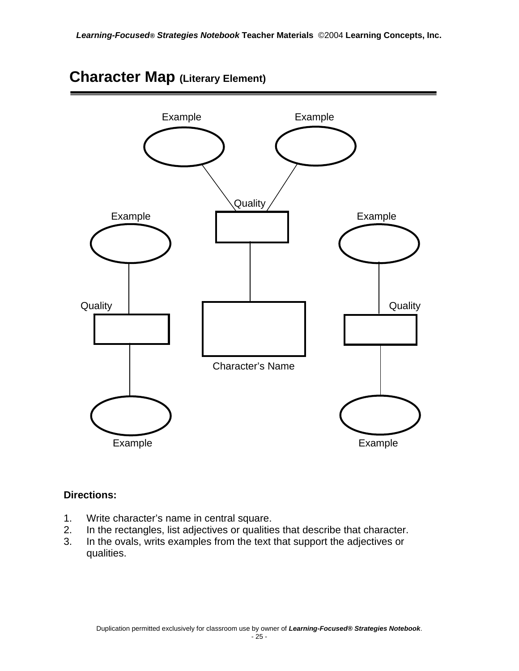

#### **Character Map (Literary Element)**

#### **Directions:**

- 1. Write character's name in central square.
- 2. In the rectangles, list adjectives or qualities that describe that character.
- 3. In the ovals, writs examples from the text that support the adjectives or qualities.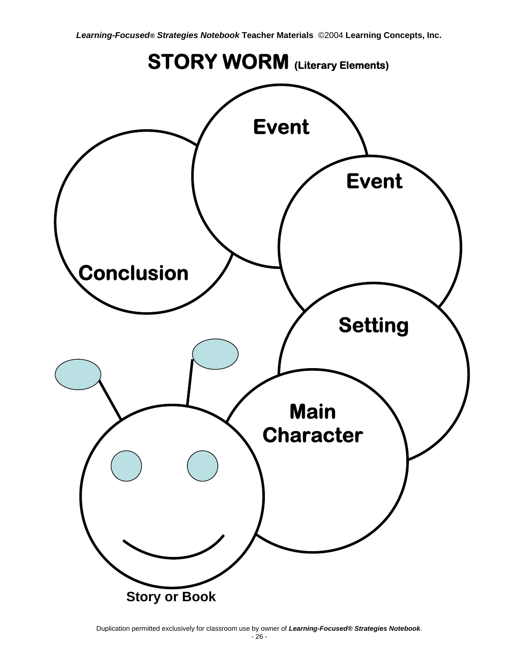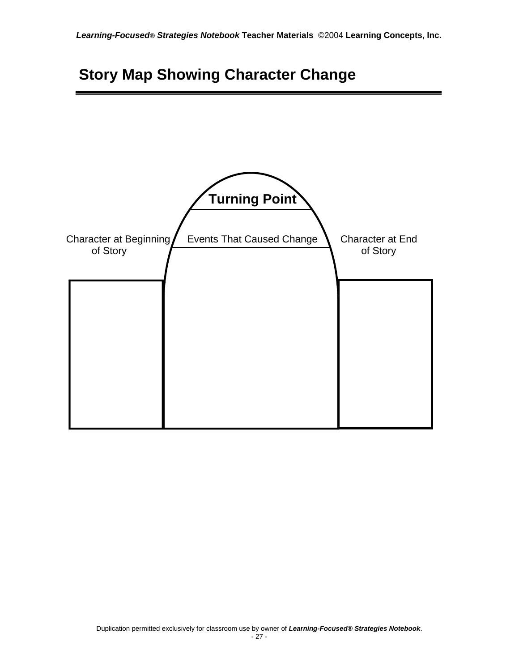## **Story Map Showing Character Change**

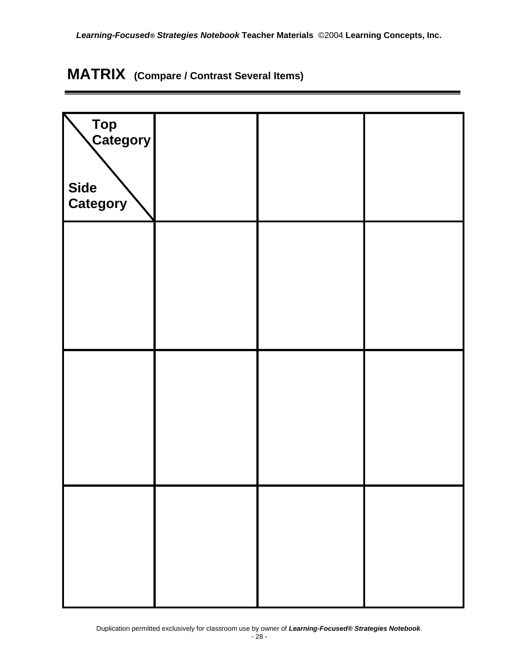## **MATRIX (Compare / Contrast Several Items)**

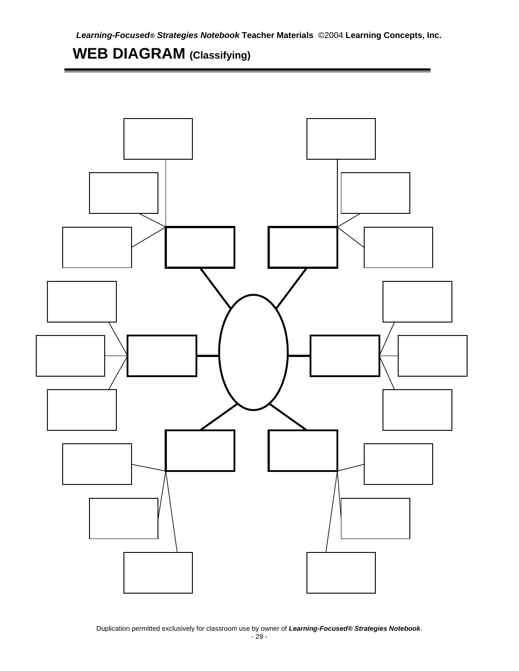### **WEB DIAGRAM (Classifying)**



Duplication permitted exclusively for classroom use by owner of *Learning-Focused® Strategies Notebook*.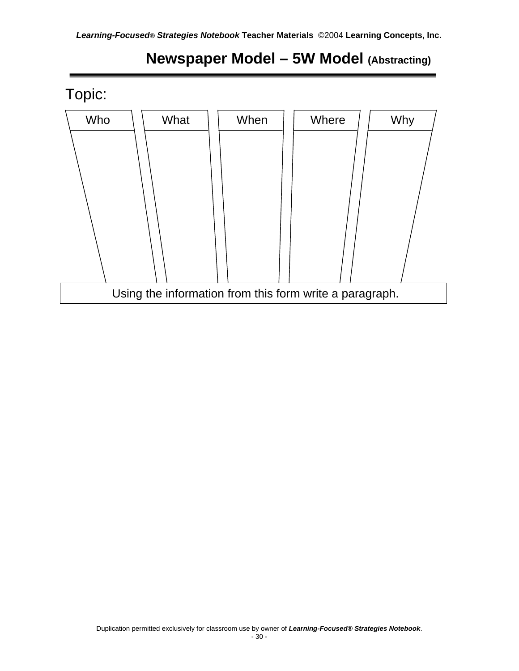

### **Newspaper Model – 5W Model (Abstracting)**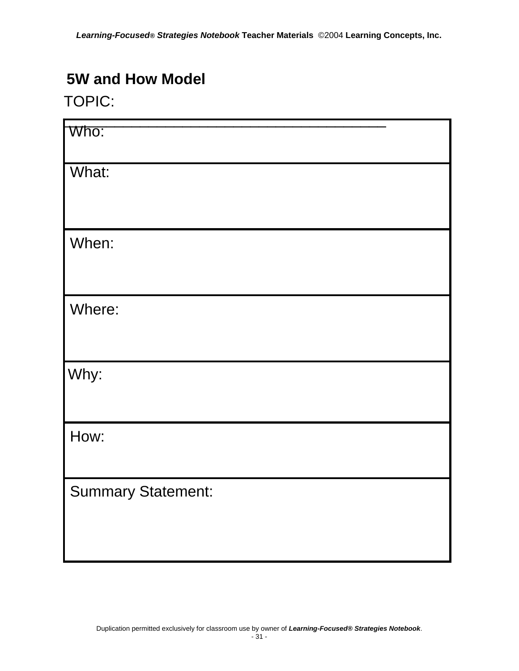#### **5W and How Model**

#### TOPIC:

| Who:                      |  |
|---------------------------|--|
| What:                     |  |
| When:                     |  |
| Where:                    |  |
| Why:                      |  |
| How:                      |  |
| <b>Summary Statement:</b> |  |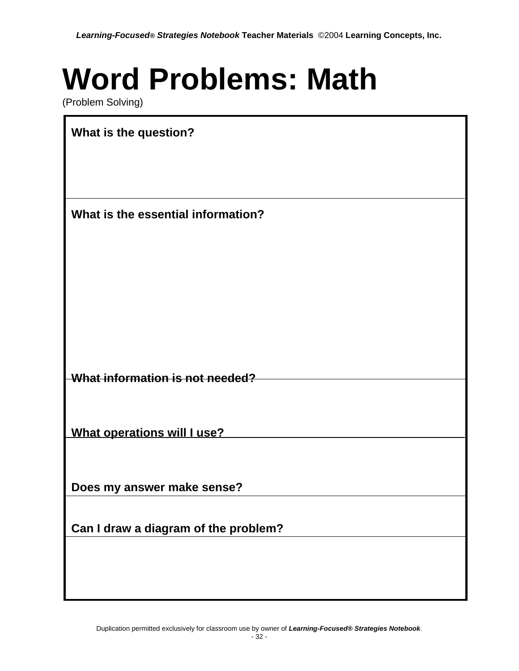# **Word Problems: Math**

(Problem Solving)

| What is the question?                |
|--------------------------------------|
|                                      |
|                                      |
| What is the essential information?   |
|                                      |
|                                      |
|                                      |
|                                      |
|                                      |
|                                      |
| What information is not needed?      |
|                                      |
|                                      |
| What operations will I use?          |
|                                      |
| Does my answer make sense?           |
|                                      |
| Can I draw a diagram of the problem? |
|                                      |
|                                      |
|                                      |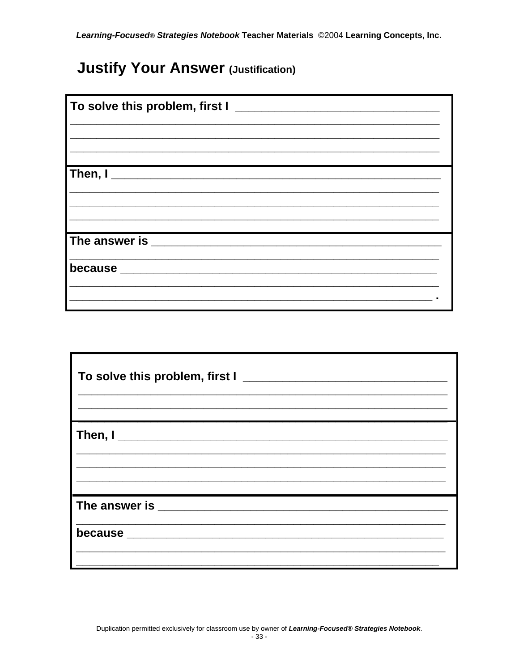### **Justify Your Answer (Justification)**

| To solve this problem, first I $\_\_$ |  |
|---------------------------------------|--|
|                                       |  |
|                                       |  |
|                                       |  |
|                                       |  |
|                                       |  |
|                                       |  |
|                                       |  |
|                                       |  |
|                                       |  |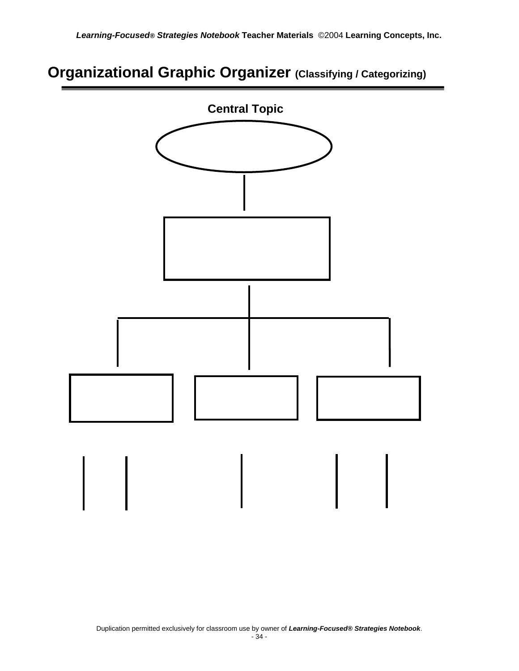#### **Organizational Graphic Organizer (Classifying / Categorizing)**

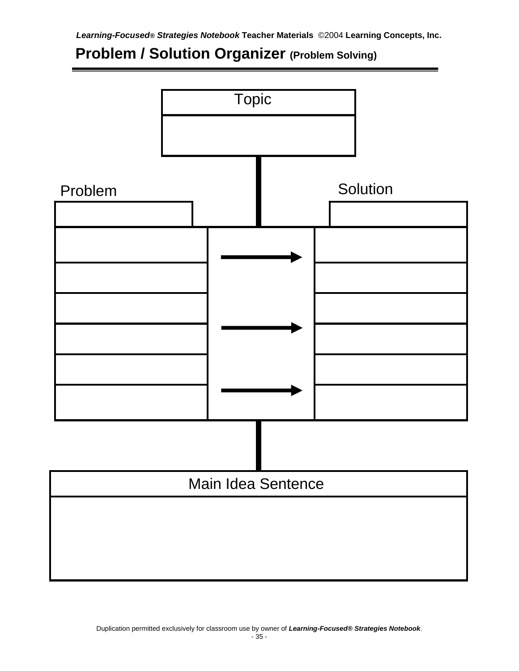## **Problem / Solution Organizer (Problem Solving)**

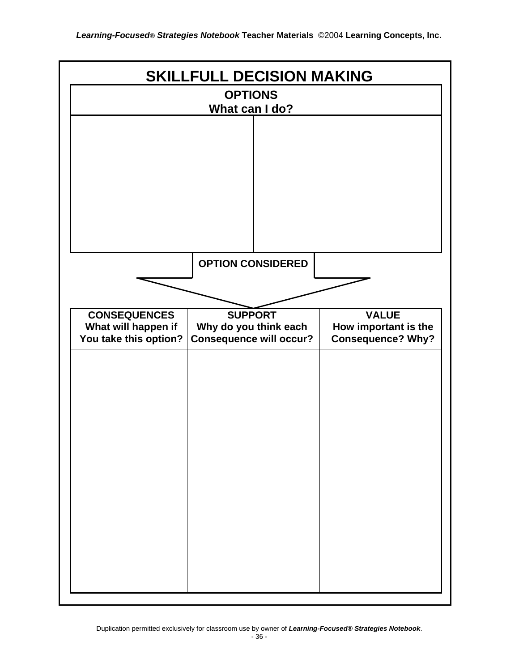| <b>SKILLFULL DECISION MAKING</b>             |                                                         |                                                  |  |
|----------------------------------------------|---------------------------------------------------------|--------------------------------------------------|--|
| <b>OPTIONS</b>                               |                                                         |                                                  |  |
|                                              | What can I do?                                          |                                                  |  |
|                                              |                                                         |                                                  |  |
|                                              |                                                         |                                                  |  |
|                                              |                                                         |                                                  |  |
|                                              |                                                         |                                                  |  |
|                                              |                                                         |                                                  |  |
|                                              |                                                         |                                                  |  |
|                                              |                                                         |                                                  |  |
|                                              | <b>OPTION CONSIDERED</b>                                |                                                  |  |
|                                              |                                                         |                                                  |  |
| <b>CONSEQUENCES</b>                          | <b>SUPPORT</b>                                          | <b>VALUE</b>                                     |  |
| What will happen if<br>You take this option? | Why do you think each<br><b>Consequence will occur?</b> | How important is the<br><b>Consequence? Why?</b> |  |
|                                              |                                                         |                                                  |  |
|                                              |                                                         |                                                  |  |
|                                              |                                                         |                                                  |  |
|                                              |                                                         |                                                  |  |
|                                              |                                                         |                                                  |  |
|                                              |                                                         |                                                  |  |
|                                              |                                                         |                                                  |  |
|                                              |                                                         |                                                  |  |
|                                              |                                                         |                                                  |  |
|                                              |                                                         |                                                  |  |
|                                              |                                                         |                                                  |  |
|                                              |                                                         |                                                  |  |
|                                              |                                                         |                                                  |  |
|                                              |                                                         |                                                  |  |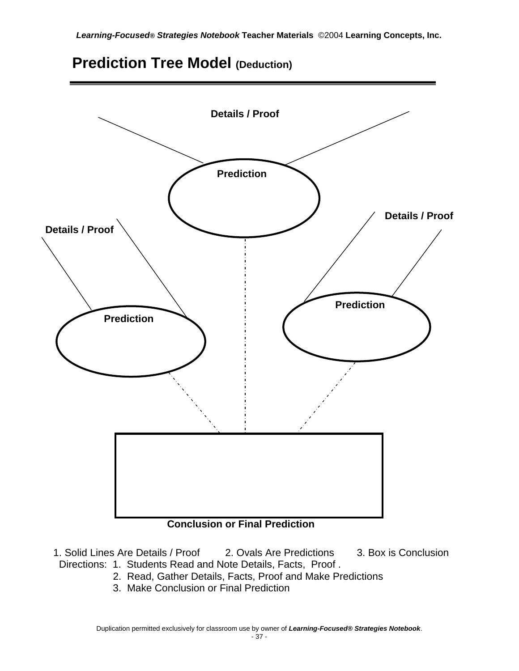



#### **Conclusion or Final Prediction**

- 1. Solid Lines Are Details / Proof 2. Ovals Are Predictions 3. Box is Conclusion Directions: 1. Students Read and Note Details, Facts, Proof .
	- 2. Read, Gather Details, Facts, Proof and Make Predictions
	- 3. Make Conclusion or Final Prediction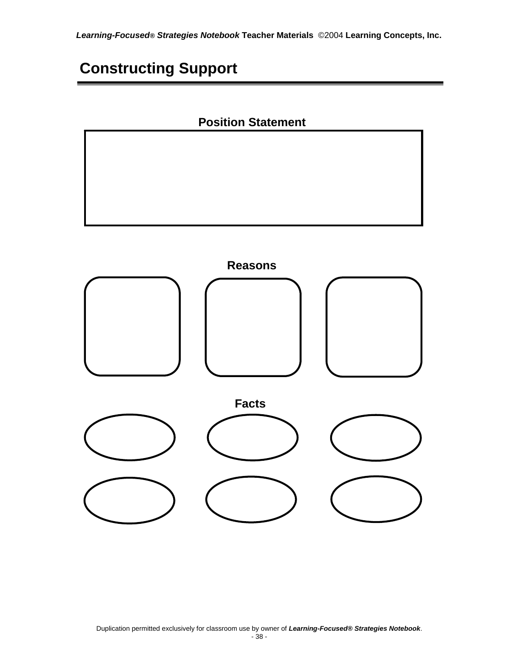## **Constructing Support**

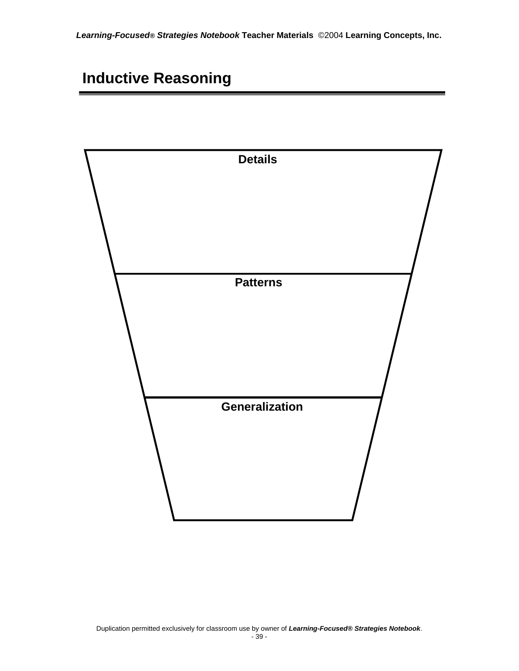### **Inductive Reasoning**

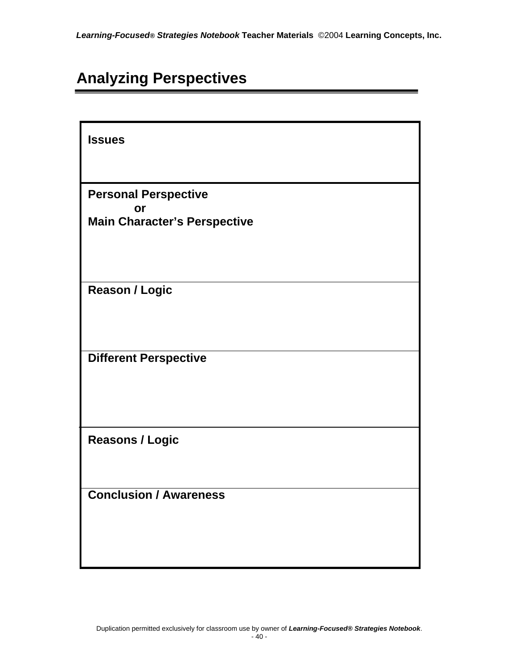## **Analyzing Perspectives**

| <b>Issues</b>                       |
|-------------------------------------|
|                                     |
| <b>Personal Perspective</b>         |
| or                                  |
| <b>Main Character's Perspective</b> |
|                                     |
|                                     |
|                                     |
| <b>Reason / Logic</b>               |
|                                     |
|                                     |
|                                     |
| <b>Different Perspective</b>        |
|                                     |
|                                     |
|                                     |
| <b>Reasons / Logic</b>              |
|                                     |
|                                     |
| <b>Conclusion / Awareness</b>       |
|                                     |
|                                     |
|                                     |
|                                     |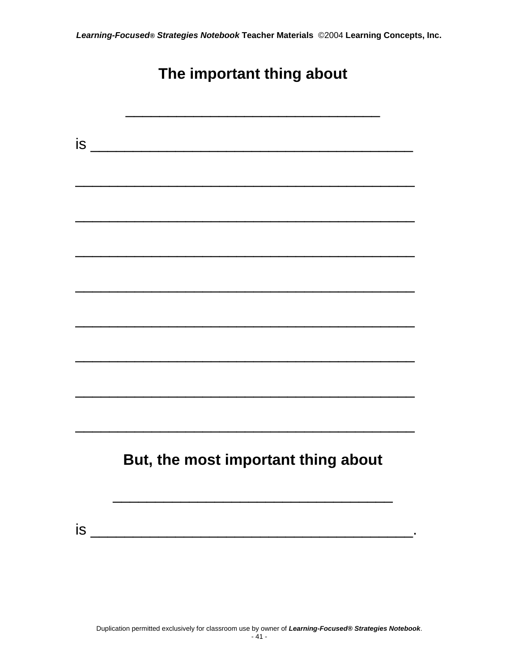## **The important thing about**

|    | is                                  |
|----|-------------------------------------|
|    |                                     |
|    |                                     |
|    |                                     |
|    |                                     |
|    |                                     |
|    |                                     |
|    |                                     |
|    |                                     |
|    |                                     |
|    |                                     |
|    |                                     |
|    |                                     |
|    |                                     |
|    |                                     |
|    | But, the most important thing about |
|    |                                     |
|    |                                     |
| is |                                     |
|    |                                     |
|    |                                     |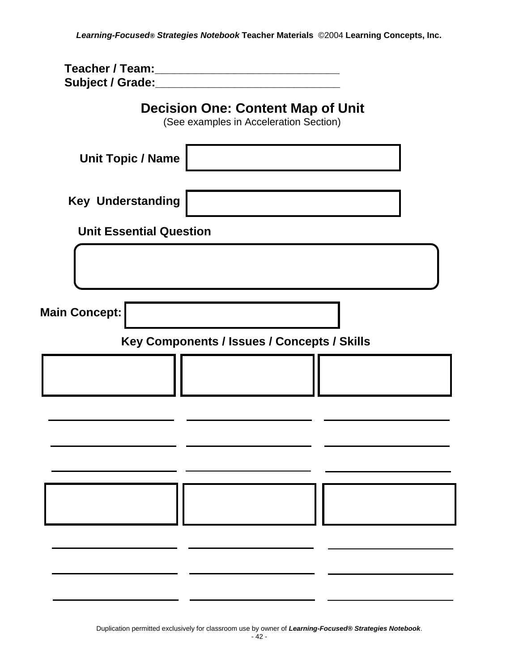**Teacher / Team:\_\_\_\_\_\_\_\_\_\_\_\_\_\_\_\_\_\_\_\_\_\_\_\_\_\_\_\_ Subject / Grade:\_\_\_\_\_\_\_\_\_\_\_\_\_\_\_\_\_\_\_\_\_\_\_\_\_\_\_\_**

| <b>Decision One: Content Map of Unit</b><br>(See examples in Acceleration Section) |
|------------------------------------------------------------------------------------|
| <b>Unit Topic / Name</b>                                                           |
| <b>Key Understanding</b>                                                           |
| <b>Unit Essential Question</b>                                                     |
|                                                                                    |
| <b>Main Concept:</b>                                                               |
| Key Components / Issues / Concepts / Skills                                        |
|                                                                                    |
|                                                                                    |
|                                                                                    |
|                                                                                    |
|                                                                                    |
|                                                                                    |

Duplication permitted exclusively for classroom use by owner of *Learning-Focused® Strategies Notebook*.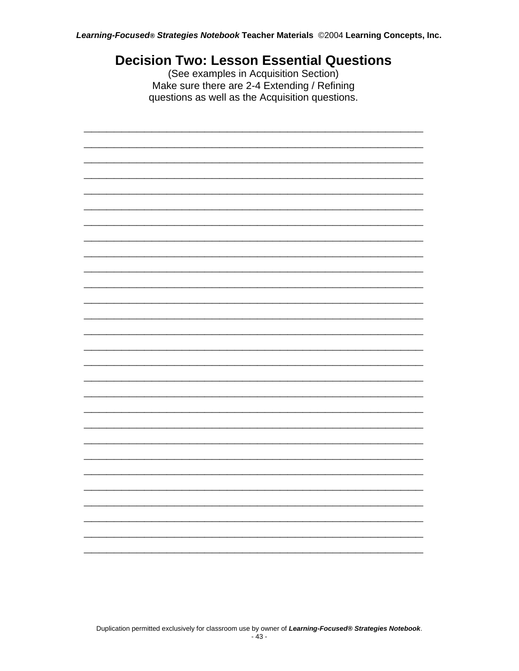#### **Decision Two: Lesson Essential Questions**

(See examples in Acquisition Section) Make sure there are 2-4 Extending / Refining questions as well as the Acquisition questions.

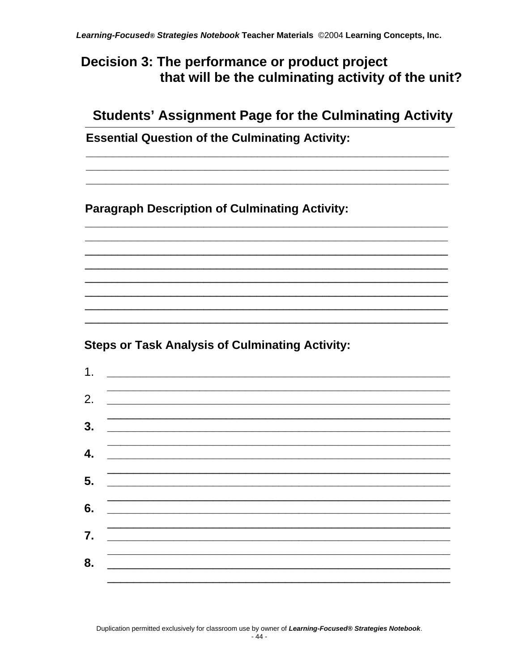#### Decision 3: The performance or product project that will be the culminating activity of the unit?

#### **Students' Assignment Page for the Culminating Activity**

**Essential Question of the Culminating Activity:** 

**Paragraph Description of Culminating Activity:** 

**Steps or Task Analysis of Culminating Activity:** 

| 1. |                                                                                                                      |  |  |
|----|----------------------------------------------------------------------------------------------------------------------|--|--|
|    |                                                                                                                      |  |  |
| 2. | the control of the control of the control of the control of the control of the control of                            |  |  |
|    |                                                                                                                      |  |  |
| 3. | <u> 1989 - Johann Barbara, martxa alemaniar a</u>                                                                    |  |  |
|    |                                                                                                                      |  |  |
| 4. |                                                                                                                      |  |  |
|    |                                                                                                                      |  |  |
| 5. | <u> 1989 - Johann John Harry, mars and de British and de British and de British and de British and de British an</u> |  |  |
|    |                                                                                                                      |  |  |
| 6. |                                                                                                                      |  |  |
|    | the control of the control of the control of the control of the control of the control of                            |  |  |
| 7. |                                                                                                                      |  |  |
|    |                                                                                                                      |  |  |
| 8. |                                                                                                                      |  |  |
|    |                                                                                                                      |  |  |
|    |                                                                                                                      |  |  |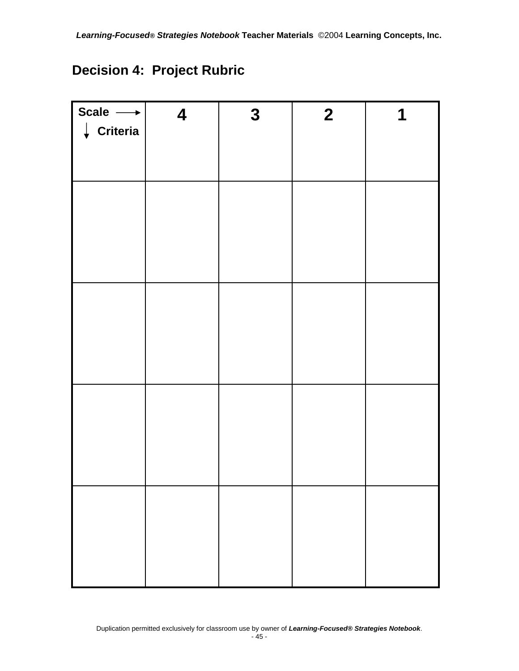#### **Decision 4: Project Rubric**

| Scale $\longrightarrow$<br>$\downarrow$ Criteria | $\boldsymbol{4}$ | $\mathbf{3}$ | $\overline{2}$ | 1 |
|--------------------------------------------------|------------------|--------------|----------------|---|
|                                                  |                  |              |                |   |
|                                                  |                  |              |                |   |
|                                                  |                  |              |                |   |
|                                                  |                  |              |                |   |
|                                                  |                  |              |                |   |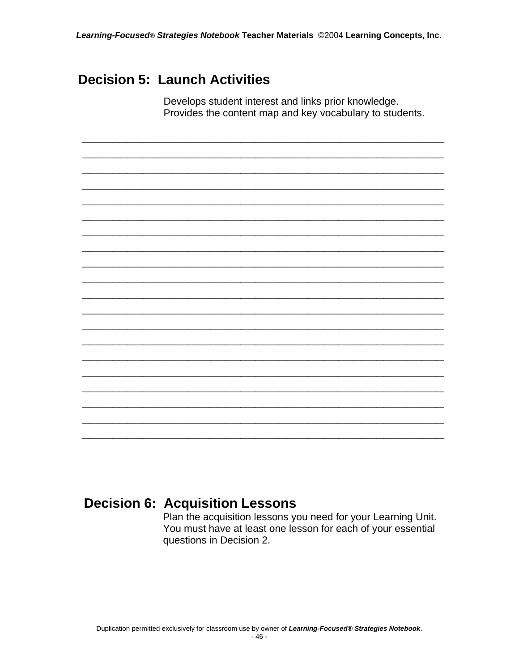**\_\_\_\_\_\_\_\_\_\_\_\_\_\_\_\_\_\_\_\_\_\_\_\_\_\_\_\_\_\_\_\_\_\_\_\_\_\_\_\_\_\_\_\_\_\_\_\_ \_\_\_\_\_\_\_\_\_\_\_\_\_\_\_\_\_\_\_\_\_\_\_\_\_\_\_\_\_\_\_\_\_\_\_\_\_\_\_\_\_\_\_\_\_\_\_\_ \_\_\_\_\_\_\_\_\_\_\_\_\_\_\_\_\_\_\_\_\_\_\_\_\_\_\_\_\_\_\_\_\_\_\_\_\_\_\_\_\_\_\_\_\_\_\_\_ \_\_\_\_\_\_\_\_\_\_\_\_\_\_\_\_\_\_\_\_\_\_\_\_\_\_\_\_\_\_\_\_\_\_\_\_\_\_\_\_\_\_\_\_\_\_\_\_ \_\_\_\_\_\_\_\_\_\_\_\_\_\_\_\_\_\_\_\_\_\_\_\_\_\_\_\_\_\_\_\_\_\_\_\_\_\_\_\_\_\_\_\_\_\_\_\_ \_\_\_\_\_\_\_\_\_\_\_\_\_\_\_\_\_\_\_\_\_\_\_\_\_\_\_\_\_\_\_\_\_\_\_\_\_\_\_\_\_\_\_\_\_\_\_\_ \_\_\_\_\_\_\_\_\_\_\_\_\_\_\_\_\_\_\_\_\_\_\_\_\_\_\_\_\_\_\_\_\_\_\_\_\_\_\_\_\_\_\_\_\_\_\_\_ \_\_\_\_\_\_\_\_\_\_\_\_\_\_\_\_\_\_\_\_\_\_\_\_\_\_\_\_\_\_\_\_\_\_\_\_\_\_\_\_\_\_\_\_\_\_\_\_ \_\_\_\_\_\_\_\_\_\_\_\_\_\_\_\_\_\_\_\_\_\_\_\_\_\_\_\_\_\_\_\_\_\_\_\_\_\_\_\_\_\_\_\_\_\_\_\_ \_\_\_\_\_\_\_\_\_\_\_\_\_\_\_\_\_\_\_\_\_\_\_\_\_\_\_\_\_\_\_\_\_\_\_\_\_\_\_\_\_\_\_\_\_\_\_\_ \_\_\_\_\_\_\_\_\_\_\_\_\_\_\_\_\_\_\_\_\_\_\_\_\_\_\_\_\_\_\_\_\_\_\_\_\_\_\_\_\_\_\_\_\_\_\_\_ \_\_\_\_\_\_\_\_\_\_\_\_\_\_\_\_\_\_\_\_\_\_\_\_\_\_\_\_\_\_\_\_\_\_\_\_\_\_\_\_\_\_\_\_\_\_\_\_ \_\_\_\_\_\_\_\_\_\_\_\_\_\_\_\_\_\_\_\_\_\_\_\_\_\_\_\_\_\_\_\_\_\_\_\_\_\_\_\_\_\_\_\_\_\_\_\_ \_\_\_\_\_\_\_\_\_\_\_\_\_\_\_\_\_\_\_\_\_\_\_\_\_\_\_\_\_\_\_\_\_\_\_\_\_\_\_\_\_\_\_\_\_\_\_\_ \_\_\_\_\_\_\_\_\_\_\_\_\_\_\_\_\_\_\_\_\_\_\_\_\_\_\_\_\_\_\_\_\_\_\_\_\_\_\_\_\_\_\_\_\_\_\_\_ \_\_\_\_\_\_\_\_\_\_\_\_\_\_\_\_\_\_\_\_\_\_\_\_\_\_\_\_\_\_\_\_\_\_\_\_\_\_\_\_\_\_\_\_\_\_\_\_ \_\_\_\_\_\_\_\_\_\_\_\_\_\_\_\_\_\_\_\_\_\_\_\_\_\_\_\_\_\_\_\_\_\_\_\_\_\_\_\_\_\_\_\_\_\_\_\_ \_\_\_\_\_\_\_\_\_\_\_\_\_\_\_\_\_\_\_\_\_\_\_\_\_\_\_\_\_\_\_\_\_\_\_\_\_\_\_\_\_\_\_\_\_\_\_\_ \_\_\_\_\_\_\_\_\_\_\_\_\_\_\_\_\_\_\_\_\_\_\_\_\_\_\_\_\_\_\_\_\_\_\_\_\_\_\_\_\_\_\_\_\_\_\_\_ \_\_\_\_\_\_\_\_\_\_\_\_\_\_\_\_\_\_\_\_\_\_\_\_\_\_\_\_\_\_\_\_\_\_\_\_\_\_\_\_\_\_\_\_\_\_\_\_**

#### **Decision 5: Launch Activities**

Develops student interest and links prior knowledge. Provides the content map and key vocabulary to students.

#### **Decision 6: Acquisition Lessons**

Plan the acquisition lessons you need for your Learning Unit. You must have at least one lesson for each of your essential questions in Decision 2.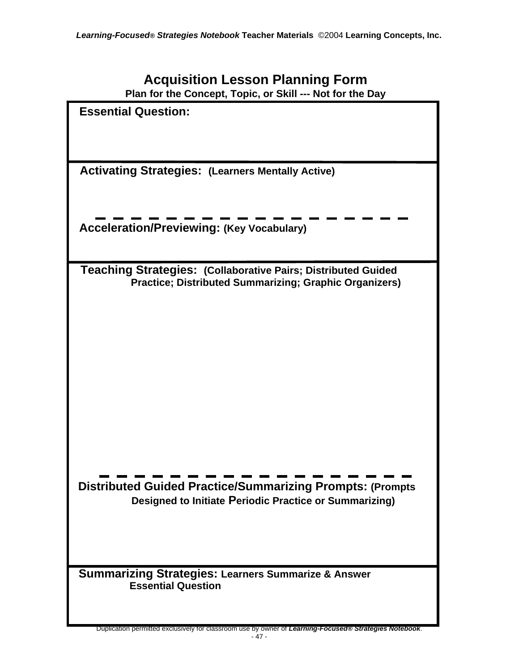| <b>Acquisition Lesson Planning Form</b> |  |  |  |
|-----------------------------------------|--|--|--|
|-----------------------------------------|--|--|--|

**Plan for the Concept, Topic, or Skill --- Not for the Day** 

| <b>Essential Question:</b>                                                                                                     |
|--------------------------------------------------------------------------------------------------------------------------------|
|                                                                                                                                |
|                                                                                                                                |
| <b>Activating Strategies: (Learners Mentally Active)</b>                                                                       |
|                                                                                                                                |
| <b>Acceleration/Previewing: (Key Vocabulary)</b>                                                                               |
|                                                                                                                                |
| Teaching Strategies: (Collaborative Pairs; Distributed Guided<br><b>Practice; Distributed Summarizing; Graphic Organizers)</b> |
|                                                                                                                                |
|                                                                                                                                |
|                                                                                                                                |
|                                                                                                                                |
|                                                                                                                                |
|                                                                                                                                |
|                                                                                                                                |
|                                                                                                                                |
| <b>Distributed Guided Practice/Summarizing Prompts: (Prompts</b>                                                               |
| Designed to Initiate Periodic Practice or Summarizing)                                                                         |
|                                                                                                                                |
|                                                                                                                                |
| <b>Summarizing Strategies: Learners Summarize &amp; Answer</b><br><b>Essential Question</b>                                    |
|                                                                                                                                |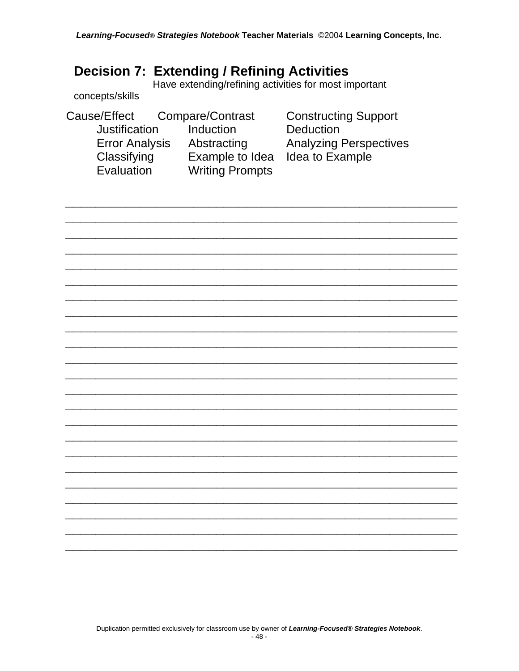#### **Decision 7: Extending / Refining Activities**

Have extending/refining activities for most important

#### concepts/skills

| Cause/Effect          | Compare/Contrast       | <b>Constructing Support</b>   |
|-----------------------|------------------------|-------------------------------|
| Justification         | Induction              | <b>Deduction</b>              |
| <b>Error Analysis</b> | Abstracting            | <b>Analyzing Perspectives</b> |
| Classifying           | Example to Idea        | Idea to Example               |
| Evaluation            | <b>Writing Prompts</b> |                               |
|                       |                        |                               |

Duplication permitted exclusively for classroom use by owner of Learning-Focused® Strategies Notebook.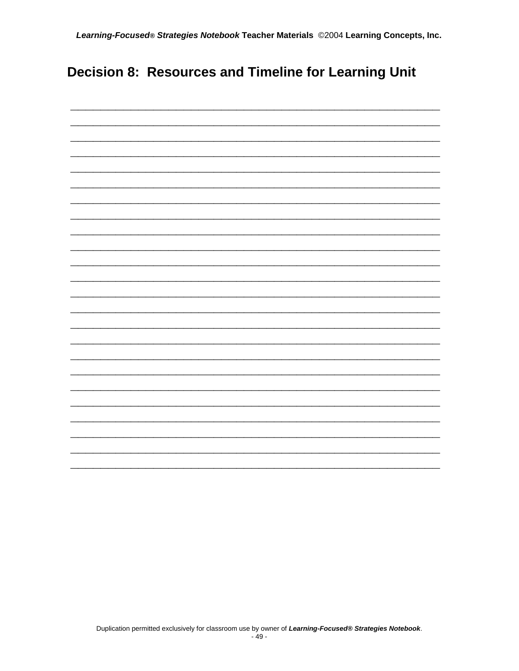#### Decision 8: Resources and Timeline for Learning Unit